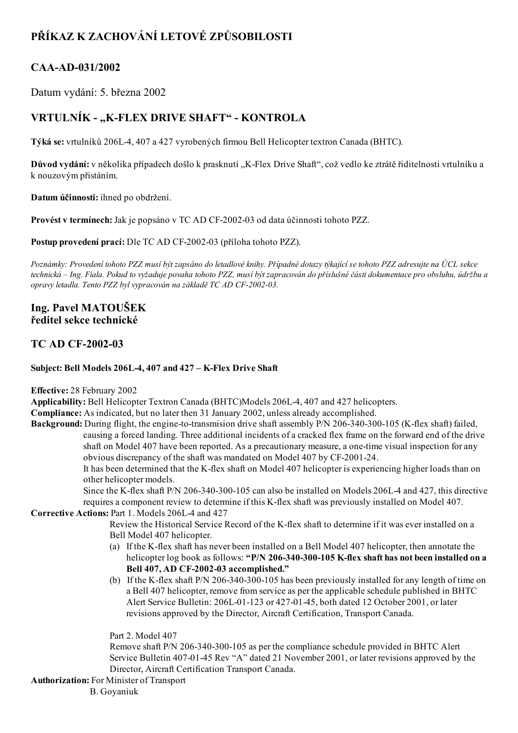# PŘÍKAZ K ZACHOVÁNÍ LETOVÉ ZPŮSOBILOSTI

## CAA-AD-031/2002

Datum vydání: 5. března 2002

## VRTULNÍK - "K-FLEX DRIVE SHAFT" - KONTROLA

Týká se: vrtulníků 206L4, 407 a 427 vyrobených firmou Bell Helicopter textron Canada (BHTC).

Důvod vydání: v několika případech došlo k prasknutí "K-Flex Drive Shaft", což vedlo ke ztrátě řiditelnosti vrtulníku a k nouzovým přistáním.

Datum účinnosti: ihned po obdržení.

Provést v termínech: Jak je popsáno v TC AD CF-2002-03 od data účinnosti tohoto PZZ.

Postup provedení prací: Dle TC AD CF-2002-03 (příloha tohoto PZZ).

Poznámky: Provedení tohoto PZZ musí být zapsáno do letadlové knihy. Případné dotazy týkající se tohoto PZZ adresujte na ÚCL sekce technická – Ing. Fiala. Pokud to vyžaduje povaha tohoto PZZ, musí být zapracován do příslušné části dokumentace pro obsluhu, údržbu a opravy letadla. Tento PZZ byl vypracován na základě TC AD CF-2002-03.

## Ing. Pavel MATOUŠEK ředitel sekce technické

## **TC AD CF-2002-03**

#### Subject: Bell Models 206L-4, 407 and 427 - K-Flex Drive Shaft

#### Effective: 28 February 2002

Applicability: Bell Helicopter Textron Canada (BHTC)Models 206L4, 407 and 427 helicopters.

Compliance: As indicated, but no later then 31 January 2002, unless already accomplished.

Background: During flight, the engine-to-transmision drive shaft assembly P/N 206-340-300-105 (K-flex shaft) failed, causing a forced landing. Three additional incidents of a cracked flex frame on the forward end of the drive shaft on Model 407 have been reported. As a precautionary measure, a one-time visual inspection for any obvious discrepancy of the shaft was mandated on Model 407 by CF-2001-24.

It has been determined that the K-flex shaft on Model 407 helicopter is experiencing higher loads than on other helicopter models.

Since the K-flex shaft P/N 206-340-300-105 can also be installed on Models 206L-4 and 427, this directive requires a component review to determine if this K-flex shaft was previously installed on Model 407.

#### Corrective Actions: Part 1. Models 206L-4 and 427

Review the Historical Service Record of the K-flex shaft to determine if it was ever installed on a Bell Model 407 helicopter.

- (a) If the K-flex shaft has never been installed on a Bell Model 407 helicopter, then annotate the helicopter log book as follows: "P/N 206-340-300-105 K-flex shaft has not been installed on a Bell 407, AD CF-2002-03 accomplished."
- (b) If the K-flex shaft P/N 206-340-300-105 has been previously installed for any length of time on a Bell 407 helicopter, remove from service as per the applicable schedule published in BHTC Alert Service Bulletin: 206L-01-123 or 427-01-45, both dated 12 October 2001, or later revisions approved by the Director, Aircraft Certification, Transport Canada.

Part 2. Model 407

Remove shaft P/N 206340300105 as per the compliance schedule provided in BHTC Alert Service Bulletin 407-01-45 Rev "A" dated 21 November 2001, or later revisions approved by the Director, Aircraft Certification Transport Canada.

#### Authorization: For Minister of Transport

B. Goyaniuk